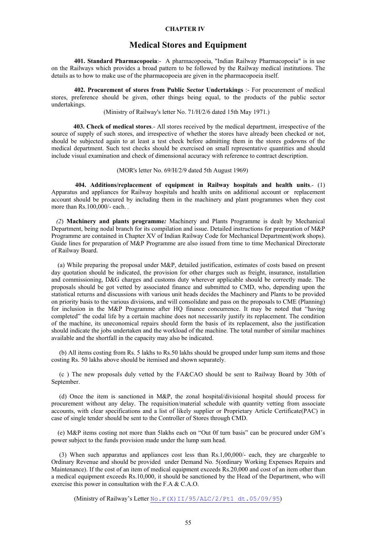#### **CHAPTER IV**

## **Medical Stores and Equipment**

**401. Standard Pharmacopoeia**:- A pharmacopoeia, "Indian Railway Pharmacopoeia" is in use on the Railways which provides a broad pattern to be followed by the Railway medical institutions. The details as to how to make use of the pharmacopoeia are given in the pharmacopoeia itself.

**402. Procurement of stores from Public Sector Undertakings** :- For procurement of medical stores, preference should be given, other things being equal, to the products of the public sector undertakings.

(Ministry of Railway's letter No. 71/H/2/6 dated 15th May 1971.)

 **403. Check of medical stores**.- All stores received by the medical department, irrespective of the source of supply of such stores, and irrespective of whether the stores have already been checked or not, should be subjected again to at least a test check before admitting them in the stores godowns of the medical department. Such test checks should be exercised on small representative quantities and should include visual examination and check of dimensional accuracy with reference to contract description.

(MOR's letter No. 69/H/2/9 dated 5th August 1969)

 **404. Additions/replacement of equipment in Railway hospitals and health units**.- (1) Apparatus and appliances for Railway hospitals and health units on additional account or replacement account should be procured by including them in the machinery and plant programmes when they cost more than Rs.100,000/- each. *.* 

 *(2*) **Machinery and plants programme***:* Machinery and Plants Programme is dealt by Mechanical Department, being nodal branch for its compilation and issue. Detailed instructions for preparation of M&P Programme are contained in Chapter XV of Indian Railway Code for Mechanical Department(work shops). Guide lines for preparation of M&P Programme are also issued from time to time Mechanical Directorate of Railway Board.

 (a) While preparing the proposal under M&P, detailed justification, estimates of costs based on present day quotation should be indicated, the provision for other charges such as freight, insurance, installation and commissioning, D&G charges and customs duty wherever applicable should be correctly made. The proposals should be got vetted by associated finance and submitted to CMD, who, depending upon the statistical returns and discussions with various unit heads decides the Machinery and Plants to be provided on priority basis to the various divisions, and will consolidate and pass on the proposals to CME (Planning) for inclusion in the M&P Programme after HQ finance concurrence. It may be noted that "having completed" the codal life by a certain machine does not necessarily justify its replacement. The condition of the machine, its uneconomical repairs should form the basis of its replacement, also the justification should indicate the jobs undertaken and the workload of the machine. The total number of similar machines available and the shortfall in the capacity may also be indicated.

(b) All items costing from Rs. 5 lakhs to Rs.50 lakhs should be grouped under lump sum items and those costing Rs. 50 lakhs above should be itemised and shown separately.

(c ) The new proposals duly vetted by the FA&CAO should be sent to Railway Board by 30th of September.

(d) Once the item is sanctioned in M&P, the zonal hospital/divisional hospital should process for procurement without any delay. The requisition/material schedule with quantity vetting from associate accounts, with clear specifications and a list of likely supplier or Proprietary Article Certificate(PAC) in case of single tender should be sent to the Controller of Stores through CMD.

(e) M&P items costing not more than 5lakhs each on "Out 0f turn basis" can be procured under GM's power subject to the funds provision made under the lump sum head.

 (3) When such apparatus and appliances cost less than Rs.1,00,000/- each, they are chargeable to Ordinary Revenue and should be provided under Demand No. 5(ordinary Working Expenses Repairs and Maintenance). If the cost of an item of medical equipment exceeds Rs.20,000 and cost of an item other than a medical equipment exceeds Rs.10,000, it should be sanctioned by the Head of the Department, who will exercise this power in consultation with the F.A & C.A.O.

(Ministry of Railway's Letter No.F(X)II/95/ALC/2/Pt1 dt.05/09/95)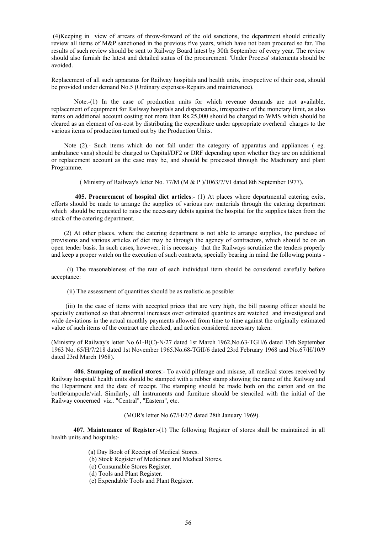(4)Keeping in view of arrears of throw-forward of the old sanctions, the department should critically review all items of M&P sanctioned in the previous five years, which have not been procured so far. The results of such review should be sent to Railway Board latest by 30th September of every year. The review should also furnish the latest and detailed status of the procurement. 'Under Process' statements should be avoided.

Replacement of all such apparatus for Railway hospitals and health units, irrespective of their cost, should be provided under demand No.5 (Ordinary expenses-Repairs and maintenance).

Note.-(1) In the case of production units for which revenue demands are not available, replacement of equipment for Railway hospitals and dispensaries, irrespective of the monetary limit, as also items on additional account costing not more than Rs.25,000 should be charged to WMS which should be cleared as an element of on-cost by distributing the expenditure under appropriate overhead charges to the various items of production turned out by the Production Units.

Note (2).- Such items which do not fall under the category of apparatus and appliances (eg. ambulance vans) should be charged to Capital/DF2 or DRF depending upon whether they are on additional or replacement account as the case may be, and should be processed through the Machinery and plant Programme.

( Ministry of Railway's letter No. 77/M (M & P )/1063/7/VI dated 8th September 1977).

 **405. Procurement of hospital diet articles**:- (1) At places where departmental catering exits, efforts should be made to arrange the supplies of various raw materials through the catering department which should be requested to raise the necessary debits against the hospital for the supplies taken from the stock of the catering department.

 (2) At other places, where the catering department is not able to arrange supplies, the purchase of provisions and various articles of diet may be through the agency of contractors, which should be on an open tender basis. In such cases, however, it is necessary that the Railways scrutinize the tenders properly and keep a proper watch on the execution of such contracts, specially bearing in mind the following points -

 (i) The reasonableness of the rate of each individual item should be considered carefully before acceptance:

(ii) The assessment of quantities should be as realistic as possible:

 (iii) In the case of items with accepted prices that are very high, the bill passing officer should be specially cautioned so that abnormal increases over estimated quantities are watched and investigated and wide deviations in the actual monthly payments allowed from time to time against the originally estimated value of such items of the contract are checked, and action considered necessary taken.

(Ministry of Railway's letter No 61-B(C)-N/27 dated 1st March 1962,No.63-TGII/6 dated 13th September 1963 No. 65/H/7/218 dated 1st November 1965.No.68-TGII/6 dated 23rd February 1968 and No.67/H/10/9 dated 23rd March 1968).

**406**. **Stamping of medical stores**:- To avoid pilferage and misuse, all medical stores received by Railway hospital/ health units should be stamped with a rubber stamp showing the name of the Railway and the Department and the date of receipt. The stamping should be made both on the carton and on the bottle/ampoule/vial. Similarly, all instruments and furniture should be stenciled with the initial of the Railway concerned viz.. "Central", "Eastern", etc.

(MOR's letter No.67/H/2/7 dated 28th January 1969).

 **407. Maintenance of Register**:-(1) The following Register of stores shall be maintained in all health units and hospitals:-

- (a) Day Book of Receipt of Medical Stores.
- (b) Stock Register of Medicines and Medical Stores.
- (c) Consumable Stores Register.
- (d) Tools and Plant Register.
- (e) Expendable Tools and Plant Register.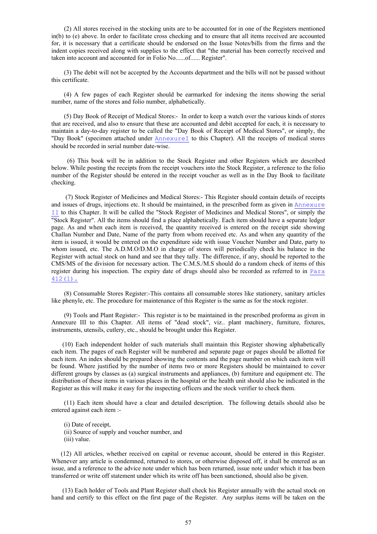(2) All stores received in the stocking units are to be accounted for in one of the Registers mentioned in(b) to (e) above. In order to facilitate cross checking and to ensure that all items received are accounted for, it is necessary that a certificate should be endorsed on the Issue Notes/bills from the firms and the indent copies received along with supplies to the effect that "the material has been correctly received and taken into account and accounted for in Folio No......of...... Register".

 (3) The debit will not be accepted by the Accounts department and the bills will not be passed without this certificate.

 (4) A few pages of each Register should be earmarked for indexing the items showing the serial number, name of the stores and folio number, alphabetically.

 (5) Day Book of Receipt of Medical Stores:- In order to keep a watch over the various kinds of stores that are received, and also to ensure that these are accounted and debit accepted for each, it is necessary to maintain a day-to-day register to be called the "Day Book of Receipt of Medical Stores", or simply, the "Day Book" (specimen attached under  $\text{AnnexureI}$  to this Chapter). All the receipts of medical stores should be recorded in serial number date-wise.

 (6) This book will be in addition to the Stock Register and other Registers which are described below. While posting the receipts from the receipt vouchers into the Stock Register, a reference to the folio number of the Register should be entered in the receipt voucher as well as in the Day Book to facilitate checking.

 (7) Stock Register of Medicines and Medical Stores:- This Register should contain details of receipts and issues of drugs, injections etc. It should be maintained, in the prescribed form as given in Annexure II to this Chapter. It will be called the "Stock Register of Medicines and Medical Stores", or simply the "Stock Register". All the items should find a place alphabetically. Each item should have a separate ledger page. As and when each item is received, the quantity received is entered on the receipt side showing Challan Number and Date, Name of the party from whom received etc. As and when any quantity of the item is issued, it would be entered on the expenditure side with issue Voucher Number and Date, party to whom issued, etc. The A.D.M.O/D.M.O in charge of stores will periodically check his balance in the Register with actual stock on hand and see that they tally. The difference, if any, should be reported to the CMS/MS of the division for necessary action. The C.M.S./M.S should do a random check of items of this register during his inspection. The expiry date of drugs should also be recorded as referred to in Para 412(1).

 (8) Consumable Stores Register:-This contains all consumable stores like stationery, sanitary articles like phenyle, etc. The procedure for maintenance of this Register is the same as for the stock register.

 (9) Tools and Plant Register:- This register is to be maintained in the prescribed proforma as given in Annexure III to this Chapter. All items of "dead stock", viz.. plant machinery, furniture, fixtures, instruments, utensils, cutlery, etc., should be brought under this Register.

 (10) Each independent holder of such materials shall maintain this Register showing alphabetically each item. The pages of each Register will be numbered and separate page or pages should be allotted for each item. An index should be prepared showing the contents and the page number on which each item will be found. Where justified by the number of items two or more Registers should be maintained to cover different groups by classes as (a) surgical instruments and appliances, (b) furniture and equipment etc. The distribution of these items in various places in the hospital or the health unit should also be indicated in the Register as this will make it easy for the inspecting officers and the stock verifier to check them.

 (11) Each item should have a clear and detailed description. The following details should also be entered against each item :-

- (i) Date of receipt,
- (ii) Source of supply and voucher number, and
- (iii) value.

 (12) All articles, whether received on capital or revenue account, should be entered in this Register. Whenever any article is condemned, returned to stores, or otherwise disposed off, it shall be entered as an issue, and a reference to the advice note under which has been returned, issue note under which it has been transferred or write off statement under which its write off has been sanctioned, should also be given.

 (13) Each holder of Tools and Plant Register shall check his Register annually with the actual stock on hand and certify to this effect on the first page of the Register. Any surplus items will be taken on the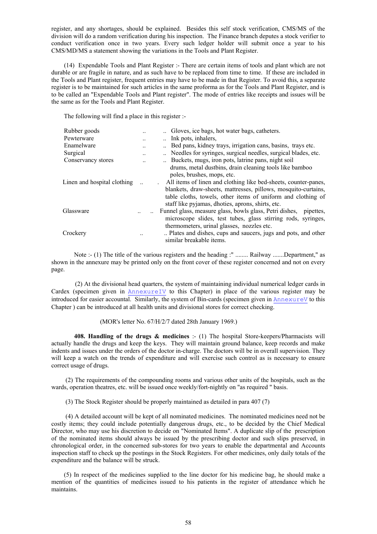register, and any shortages, should be explained. Besides this self stock verification, CMS/MS of the division will do a random verification during his inspection. The Finance branch deputes a stock verifier to conduct verification once in two years. Every such ledger holder will submit once a year to his CMS/MD/MS a statement showing the variations in the Tools and Plant Register.

 (14) Expendable Tools and Plant Register :- There are certain items of tools and plant which are not durable or are fragile in nature, and as such have to be replaced from time to time. If these are included in the Tools and Plant register, frequent entries may have to be made in that Register. To avoid this, a separate register is to be maintained for such articles in the same proforma as for the Tools and Plant Register, and is to be called an "Expendable Tools and Plant register". The mode of entries like receipts and issues will be the same as for the Tools and Plant Register.

The following will find a place in this register :-

| Rubber goods                |           | Gloves, ice bags, hot water bags, catheters.                         |
|-----------------------------|-----------|----------------------------------------------------------------------|
| Pewterware                  |           | Ink pots, inhalers,                                                  |
| Enamelware                  | $\ddotsc$ | Bed pans, kidney trays, irrigation cans, basins, trays etc.          |
| Surgical                    | $\ddotsc$ | Needles for syringes, surgical needles, surgical blades, etc.        |
| Conservancy stores          |           | Buckets, mugs, iron pots, latrine pans, night soil                   |
|                             |           | drums, metal dustbins, drain cleaning tools like bamboo              |
|                             |           | poles, brushes, mops, etc.                                           |
| Linen and hospital clothing |           | All items of linen and clothing like bed-sheets, counter-panes,      |
|                             |           | blankets, draw-sheets, mattresses, pillows, mosquito-curtains,       |
|                             |           | table cloths, towels, other items of uniform and clothing of         |
|                             |           | staff like pyjamas, dhoties, aprons, shirts, etc.                    |
| Glassware                   |           | Funnel glass, measure glass, bowls glass, Petri dishes,<br>pipettes. |
|                             |           | microscope slides, test tubes, glass stirring rods, syringes,        |
|                             |           | thermometers, urinal glasses, nozzles etc.                           |
| Crockery                    |           | Plates and dishes, cups and saucers, jugs and pots, and other        |
|                             |           | similar breakable items.                                             |

 Note :- (1) The title of the various registers and the heading :" ........ Railway .......Department," as shown in the annexure may be printed only on the front cover of these register concerned and not on every page.

 (2) At the divisional head quarters, the system of maintaining individual numerical ledger cards in Cardex (specimen given in AnnexureIV to this Chapter) in place of the various register may be introduced for easier accountal. Similarly, the system of Bin-cards (specimen given in AnnexureV to this Chapter ) can be introduced at all health units and divisional stores for correct checking.

#### (MOR's letter No. 67/H/2/7 dated 28th January 1969.)

**408. Handling of the drugs & medicines** :- (1) The hospital Store-keepers/Pharmacists will actually handle the drugs and keep the keys. They will maintain ground balance, keep records and make indents and issues under the orders of the doctor in-charge. The doctors will be in overall supervision. They will keep a watch on the trends of expenditure and will exercise such control as is necessary to ensure correct usage of drugs.

 (2) The requirements of the compounding rooms and various other units of the hospitals, such as the wards, operation theatres, etc. will be issued once weekly/fort-nightly on "as required " basis.

(3) The Stock Register should be properly maintained as detailed in para 407 (7)

 (4) A detailed account will be kept of all nominated medicines. The nominated medicines need not be costly items; they could include potentially dangerous drugs, etc., to be decided by the Chief Medical Director, who may use his discretion to decide on "Nominated Items". A duplicate slip of the prescription of the nominated items should always be issued by the prescribing doctor and such slips preserved, in chronological order, in the concerned sub-stores for two years to enable the departmental and Accounts inspection staff to check up the postings in the Stock Registers. For other medicines, only daily totals of the expenditure and the balance will be struck.

 (5) In respect of the medicines supplied to the line doctor for his medicine bag, he should make a mention of the quantities of medicines issued to his patients in the register of attendance which he maintains.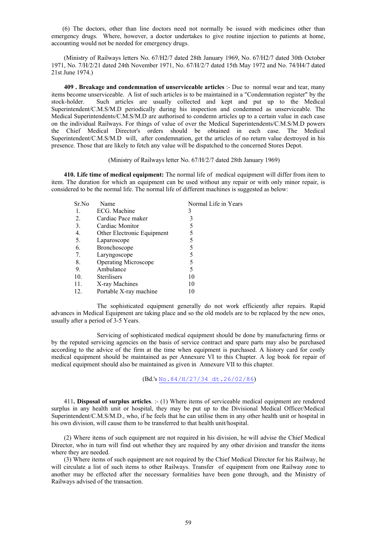(6) The doctors, other than line doctors need not normally be issued with medicines other than emergency drugs. Where, however, a doctor undertakes to give routine injection to patients at home, accounting would not be needed for emergency drugs.

 (Ministry of Railways letters No. 67/H2/7 dated 28th January 1969, No. 67/H2/7 dated 30th October 1971, No. 7/H/2/21 dated 24th November 1971, No. 67/H/2/7 dated 15th May 1972 and No. 74/H4/7 dated 21st June 1974.)

 **409 . Breakage and condemnation of unserviceable articles** :- Due to normal wear and tear, many items become unserviceable. A list of such articles is to be maintained in a "Condemnation register" by the stock-holder. Such articles are usually collected and kept and put up to the Medical Superintendent/C.M.S/M.D periodically during his inspection and condemned as unserviceable. The Medical Superintendents/C.M.S/M.D are authorised to condemn articles up to a certain value in each case on the individual Railways. For things of value of over the Medical Superintendents/C.M.S/M.D powers the Chief Medical Director's orders should be obtained in each case. The Medical Superintendent/C.M.S/M.D will, after condemnation, get the articles of no return value destroyed in his presence. Those that are likely to fetch any value will be dispatched to the concerned Stores Depot.

#### (Ministry of Railways letter No. 67/H/2/7 dated 28th January 1969)

 **410. Life time of medical equipment:** The normal life of medical equipment will differ from item to item. The duration for which an equipment can be used without any repair or with only minor repair, is considered to be the normal life. The normal life of different machines is suggested as below:

| Sr.No | Name                        | Normal Life in Years |
|-------|-----------------------------|----------------------|
|       | ECG. Machine                |                      |
| 2.    | Cardiac Pace maker          |                      |
| 3.    | Cardiac Monitor             |                      |
| 4.    | Other Electronic Equipment  |                      |
| 5.    | Laparoscope                 |                      |
| 6.    | Bronchoscope                |                      |
| 7.    | Laryngoscope                |                      |
| 8.    | <b>Operating Microscope</b> |                      |
| 9.    | Ambulance                   |                      |
| 10.   | <b>Sterilisers</b>          | 10                   |
| 11.   | X-ray Machines              | 10                   |
| 12.   | Portable X-ray machine      |                      |
|       |                             |                      |

 The sophisticated equipment generally do not work efficiently after repairs. Rapid advances in Medical Equipment are taking place and so the old models are to be replaced by the new ones, usually after a period of 3-5 Years.

 Servicing of sophisticated medical equipment should be done by manufacturing firms or by the reputed servicing agencies on the basis of service contract and spare parts may also be purchased according to the advice of the firm at the time when equipment is purchased. A history card for costly medical equipment should be maintained as per Annexure VI to this Chapter. A log book for repair of medical equipment should also be maintained as given in Annexure VII to this chapter.

(Bd.'s No.84/H/27/34 dt.26/02/86)

 411**. Disposal of surplus articles**. :- (1) Where items of serviceable medical equipment are rendered surplus in any health unit or hospital, they may be put up to the Divisional Medical Officer/Medical Superintendent/C.M.S/M.D., who, if he feels that he can utilise them in any other health unit or hospital in his own division, will cause them to be transferred to that health unit/hospital.

 (2) Where items of such equipment are not required in his division, he will advise the Chief Medical Director, who in turn will find out whether they are required by any other division and transfer the items where they are needed.

 (3) Where items of such equipment are not required by the Chief Medical Director for his Railway, he will circulate a list of such items to other Railways. Transfer of equipment from one Railway zone to another may be effected after the necessary formalities have been gone through, and the Ministry of Railways advised of the transaction.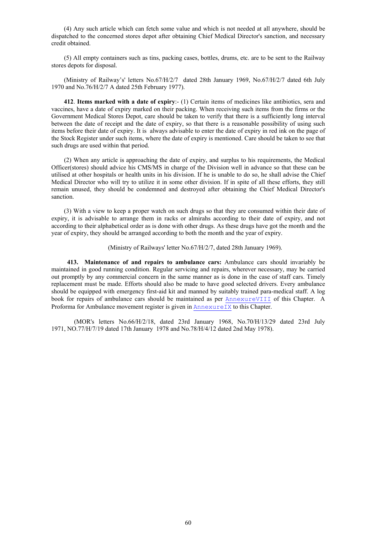(4) Any such article which can fetch some value and which is not needed at all anywhere, should be dispatched to the concerned stores depot after obtaining Chief Medical Director's sanction, and necessary credit obtained.

 (5) All empty containers such as tins, packing cases, bottles, drums, etc. are to be sent to the Railway stores depots for disposal.

 (Ministry of Railway's' letters No.67/H/2/7 dated 28th January 1969, No.67/H/2/7 dated 6th July 1970 and No.76/H/2/7 A dated 25th February 1977).

 **412**. **Items marked with a date of expiry**:- (1) Certain items of medicines like antibiotics, sera and vaccines, have a date of expiry marked on their packing. When receiving such items from the firms or the Government Medical Stores Depot, care should be taken to verify that there is a sufficiently long interval between the date of receipt and the date of expiry, so that there is a reasonable possibility of using such items before their date of expiry. It is always advisable to enter the date of expiry in red ink on the page of the Stock Register under such items, where the date of expiry is mentioned. Care should be taken to see that such drugs are used within that period.

 (2) When any article is approaching the date of expiry, and surplus to his requirements, the Medical Officer(stores) should advice his CMS/MS in charge of the Division well in advance so that these can be utilised at other hospitals or health units in his division. If he is unable to do so, he shall advise the Chief Medical Director who will try to utilize it in some other division. If in spite of all these efforts, they still remain unused, they should be condemned and destroyed after obtaining the Chief Medical Director's sanction.

 (3) With a view to keep a proper watch on such drugs so that they are consumed within their date of expiry, it is advisable to arrange them in racks or almirahs according to their date of expiry, and not according to their alphabetical order as is done with other drugs. As these drugs have got the month and the year of expiry, they should be arranged according to both the month and the year of expiry.

(Ministry of Railways' letter No.67/H/2/7, dated 28th January 1969).

 **413. Maintenance of and repairs to ambulance cars:** Ambulance cars should invariably be maintained in good running condition. Regular servicing and repairs, wherever necessary, may be carried out promptly by any commercial concern in the same manner as is done in the case of staff cars. Timely replacement must be made. Efforts should also be made to have good selected drivers. Every ambulance should be equipped with emergency first-aid kit and manned by suitably trained para-medical staff. A log book for repairs of ambulance cars should be maintained as per AnnexureVIII of this Chapter. A Proforma for Ambulance movement register is given in  $\text{AnnexureIX}$  to this Chapter.

 (MOR's letters No.66/H/2/18, dated 23rd January 1968, No.70/H/13/29 dated 23rd July 1971, NO.77/H/7/19 dated 17th January 1978 and No.78/H/4/12 dated 2nd May 1978).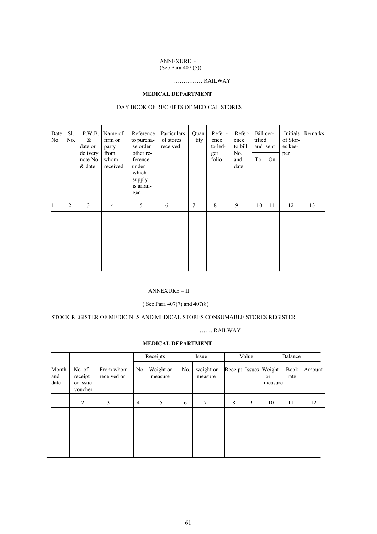# ANNEXURE - I

(See Para 407 (5))

### …………….RAILWAY

#### **MEDICAL DEPARTMENT**

#### DAY BOOK OF RECEIPTS OF MEDICAL STORES

| Date<br>No. | Sl.<br>No. | P.W.B.<br>$\&$<br>date or<br>delivery<br>note No.<br>$\&$ date | Name of<br>firm or<br>party<br>from<br>whom<br>received | Reference<br>to purcha-<br>se order<br>other re-<br>ference<br>under<br>which<br>supply<br>is arran-<br>ged | Particulars<br>of stores<br>received | Quan<br>tity | Refer-<br>ence<br>to led-<br>ger<br>folio | Refer-<br>ence<br>to bill<br>No.<br>and<br>date | Bill cer-<br>tified<br>and sent<br>To | <b>On</b> | Initials<br>of Stor-<br>es kee-<br>per | Remarks |
|-------------|------------|----------------------------------------------------------------|---------------------------------------------------------|-------------------------------------------------------------------------------------------------------------|--------------------------------------|--------------|-------------------------------------------|-------------------------------------------------|---------------------------------------|-----------|----------------------------------------|---------|
| 1           | 2          | 3                                                              | $\overline{4}$                                          | 5                                                                                                           | 6                                    | 7            | 8                                         | 9                                               | 10                                    | 11        | 12                                     | 13      |
|             |            |                                                                |                                                         |                                                                                                             |                                      |              |                                           |                                                 |                                       |           |                                        |         |

#### ANNEXURE – II

#### ( See Para 407(7) and 407(8)

#### STOCK REGISTER OF MEDICINES AND MEDICAL STORES CONSUMABLE STORES REGISTER

#### ……..RAILWAY

#### **MEDICAL DEPARTMENT**

|                      |                                          |                          |                | Receipts             |     | Issue                |   | Value | Balance                                |                     |        |
|----------------------|------------------------------------------|--------------------------|----------------|----------------------|-----|----------------------|---|-------|----------------------------------------|---------------------|--------|
| Month<br>and<br>date | No. of<br>receipt<br>or issue<br>voucher | From whom<br>received or | No.            | Weight or<br>measure | No. | weight or<br>measure |   |       | Receipt Issues Weight<br>or<br>measure | <b>Book</b><br>rate | Amount |
|                      | 2                                        | 3                        | $\overline{4}$ | 5                    | 6   | 7                    | 8 | 9     | 10                                     | 11                  | 12     |
|                      |                                          |                          |                |                      |     |                      |   |       |                                        |                     |        |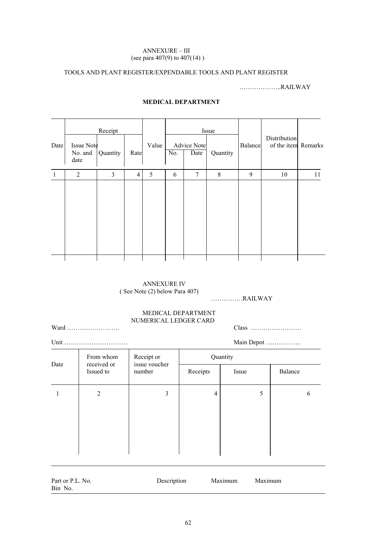#### ANNEXURE – III (see para 407(9) to 407(14) )

### TOOLS AND PLANT REGISTER/EXPENDABLE TOOLS AND PLANT REGISTER

………………..RAILWAY

| Date | Issue Note<br>No. and<br>date | Receipt<br>Quantity | Rate           | Value | No. | <b>Advice Note</b><br>Date | Issue<br>Quantity | <b>Balance</b> | Distribution<br>of the item Remarks |    |
|------|-------------------------------|---------------------|----------------|-------|-----|----------------------------|-------------------|----------------|-------------------------------------|----|
|      |                               |                     |                |       |     |                            |                   |                |                                     |    |
| 1    | $\overline{2}$                | 3                   | $\overline{4}$ | 5     | 6   | $7\phantom{.0}$            | $8\,$             | 9              | $10\,$                              | 11 |
|      |                               |                     |                |       |     |                            |                   |                |                                     |    |

### **MEDICAL DEPARTMENT**

#### ANNEXURE IV ( See Note (2) below Para 407)

……………RAILWAY

### MEDICAL DEPARTMENT NUMERICAL LEDGER CARD

Ward ……………………. Class ……………………

|                             |             | Main Depot            |       |         |  |  |  |
|-----------------------------|-------------|-----------------------|-------|---------|--|--|--|
| From whom                   | Receipt or  | Quantity              |       |         |  |  |  |
| Date<br>Issued to<br>number |             | Receipts              | Issue | Balance |  |  |  |
| 2                           | 3           | 4                     | 5     | h       |  |  |  |
|                             |             |                       |       |         |  |  |  |
|                             |             |                       |       |         |  |  |  |
|                             | received or | Unit<br>issue voucher |       |         |  |  |  |

| Part or P.L. No. | Description | Maximum | Maximum |
|------------------|-------------|---------|---------|
| Bin No.          |             |         |         |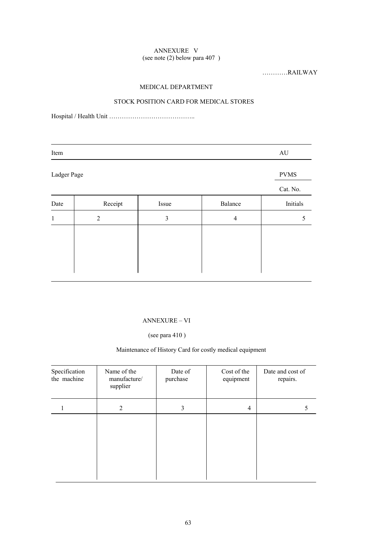#### ANNEXURE V (see note (2) below para 407 )

…………RAILWAY

### MEDICAL DEPARTMENT

### STOCK POSITION CARD FOR MEDICAL STORES

Hospital / Health Unit …………………………………..

|                |       |                | AU          |
|----------------|-------|----------------|-------------|
| Ladger Page    |       |                | <b>PVMS</b> |
|                |       |                | Cat. No.    |
| Receipt        | Issue | Balance        | Initials    |
| $\overline{2}$ | 3     | $\overline{4}$ | 5           |
|                |       |                |             |
|                |       |                |             |
|                |       |                |             |
|                |       |                |             |

### ANNEXURE – VI

### (see para 410 )

#### Maintenance of History Card for costly medical equipment

| Specification<br>the machine | Name of the<br>manufacture/<br>supplier | Date of<br>purchase | Cost of the<br>equipment | Date and cost of<br>repairs. |
|------------------------------|-----------------------------------------|---------------------|--------------------------|------------------------------|
|                              | 2                                       | 3                   | 4                        | Ć                            |
|                              |                                         |                     |                          |                              |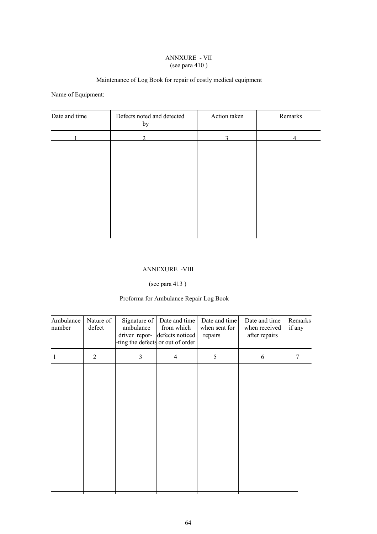#### ANNXURE - VII (see para 410 )

## Maintenance of Log Book for repair of costly medical equipment

Name of Equipment:

| Date and time | Defects noted and detected<br>by | Action taken | Remarks |  |  |
|---------------|----------------------------------|--------------|---------|--|--|
|               | ◠                                | ◠            |         |  |  |
|               |                                  |              |         |  |  |
|               |                                  |              |         |  |  |
|               |                                  |              |         |  |  |
|               |                                  |              |         |  |  |
|               |                                  |              |         |  |  |
|               |                                  |              |         |  |  |
|               |                                  |              |         |  |  |

#### ANNEXURE -VIII

### (see para 413 )

# Proforma for Ambulance Repair Log Book

| Ambulance<br>number | Nature of<br>defect | Signature of<br>ambulance | Date and time<br>from which<br>driver repor- defects noticed<br>ting the defects or out of order | Date and time<br>when sent for<br>repairs | Date and time<br>when received<br>after repairs | Remarks<br>if any |
|---------------------|---------------------|---------------------------|--------------------------------------------------------------------------------------------------|-------------------------------------------|-------------------------------------------------|-------------------|
|                     | $\overline{2}$      | 3                         | $\overline{4}$                                                                                   | 5                                         | 6                                               | 7                 |
|                     |                     |                           |                                                                                                  |                                           |                                                 |                   |
|                     |                     |                           |                                                                                                  |                                           |                                                 |                   |